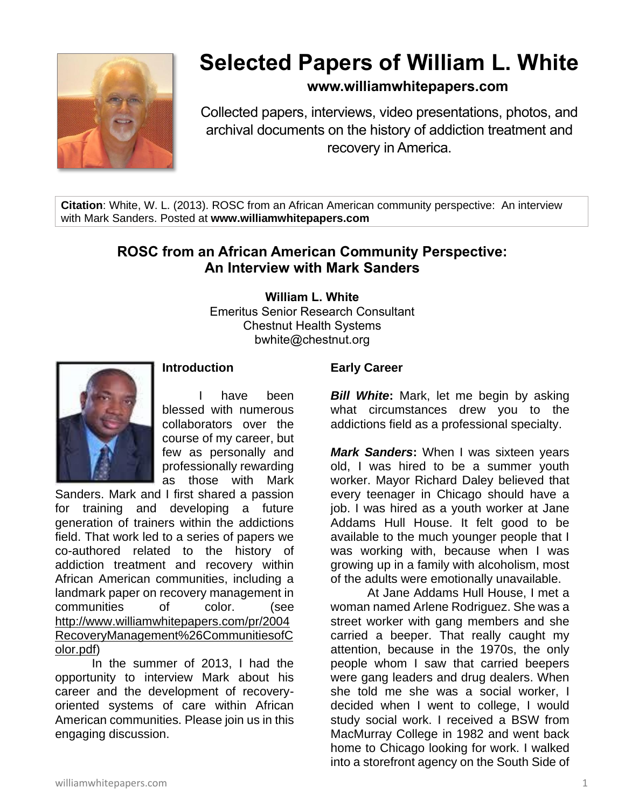

# **Selected Papers of William L. White**

### **www.williamwhitepapers.com**

Collected papers, interviews, video presentations, photos, and archival documents on the history of addiction treatment and recovery in America.

**Citation**: White, W. L. (2013). ROSC from an African American community perspective: An interview with Mark Sanders. Posted at **www.williamwhitepapers.com**

## **ROSC from an African American Community Perspective: An Interview with Mark Sanders**

**William L. White**

Emeritus Senior Research Consultant Chestnut Health Systems bwhite@chestnut.org



#### **Introduction**

have been blessed with numerous collaborators over the course of my career, but few as personally and professionally rewarding as those with Mark

Sanders. Mark and I first shared a passion for training and developing a future generation of trainers within the addictions field. That work led to a series of papers we co-authored related to the history of addiction treatment and recovery within African American communities, including a landmark paper on recovery management in communities of color. (see [http://www.williamwhitepapers.com/pr/2004](http://www.williamwhitepapers.com/pr/2004RecoveryManagement%26CommunitiesofColor.pdf) [RecoveryManagement%26CommunitiesofC](http://www.williamwhitepapers.com/pr/2004RecoveryManagement%26CommunitiesofColor.pdf) [olor.pdf\)](http://www.williamwhitepapers.com/pr/2004RecoveryManagement%26CommunitiesofColor.pdf)

In the summer of 2013, I had the opportunity to interview Mark about his career and the development of recoveryoriented systems of care within African American communities. Please join us in this engaging discussion.

#### **Early Career**

*Bill White***:** Mark, let me begin by asking what circumstances drew you to the addictions field as a professional specialty.

*Mark Sanders***:** When I was sixteen years old, I was hired to be a summer youth worker. Mayor Richard Daley believed that every teenager in Chicago should have a job. I was hired as a youth worker at Jane Addams Hull House. It felt good to be available to the much younger people that I was working with, because when I was growing up in a family with alcoholism, most of the adults were emotionally unavailable.

At Jane Addams Hull House, I met a woman named Arlene Rodriguez. She was a street worker with gang members and she carried a beeper. That really caught my attention, because in the 1970s, the only people whom I saw that carried beepers were gang leaders and drug dealers. When she told me she was a social worker, I decided when I went to college, I would study social work. I received a BSW from MacMurray College in 1982 and went back home to Chicago looking for work. I walked into a storefront agency on the South Side of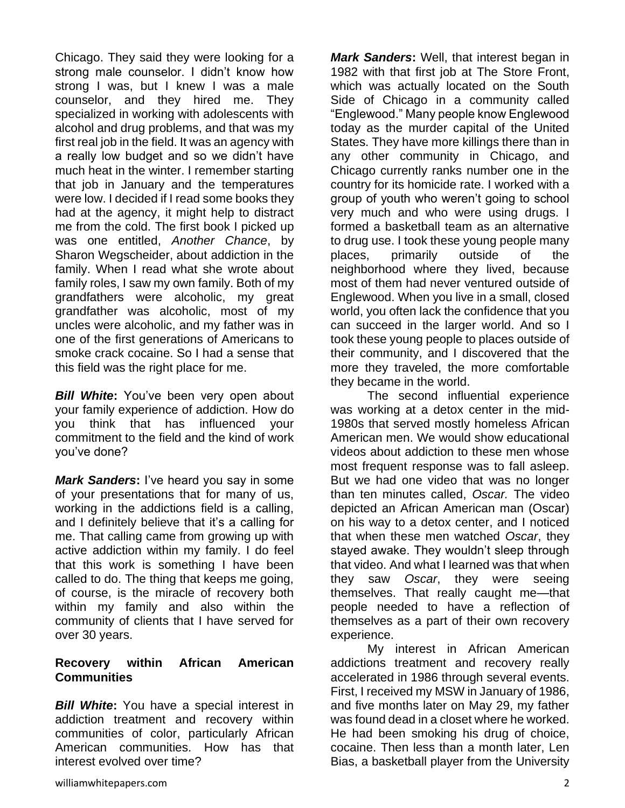Chicago. They said they were looking for a strong male counselor. I didn't know how strong I was, but I knew I was a male counselor, and they hired me. They specialized in working with adolescents with alcohol and drug problems, and that was my first real job in the field. It was an agency with a really low budget and so we didn't have much heat in the winter. I remember starting that job in January and the temperatures were low. I decided if I read some books they had at the agency, it might help to distract me from the cold. The first book I picked up was one entitled, *Another Chance*, by Sharon Wegscheider, about addiction in the family. When I read what she wrote about family roles, I saw my own family. Both of my grandfathers were alcoholic, my great grandfather was alcoholic, most of my uncles were alcoholic, and my father was in one of the first generations of Americans to smoke crack cocaine. So I had a sense that this field was the right place for me.

*Bill White***:** You've been very open about your family experience of addiction. How do you think that has influenced your commitment to the field and the kind of work you've done?

*Mark Sanders***:** I've heard you say in some of your presentations that for many of us, working in the addictions field is a calling, and I definitely believe that it's a calling for me. That calling came from growing up with active addiction within my family. I do feel that this work is something I have been called to do. The thing that keeps me going, of course, is the miracle of recovery both within my family and also within the community of clients that I have served for over 30 years.

#### **Recovery within African American Communities**

*Bill White***:** You have a special interest in addiction treatment and recovery within communities of color, particularly African American communities. How has that interest evolved over time?

*Mark Sanders***:** Well, that interest began in 1982 with that first job at The Store Front, which was actually located on the South Side of Chicago in a community called "Englewood." Many people know Englewood today as the murder capital of the United States. They have more killings there than in any other community in Chicago, and Chicago currently ranks number one in the country for its homicide rate. I worked with a group of youth who weren't going to school very much and who were using drugs. I formed a basketball team as an alternative to drug use. I took these young people many places, primarily outside of the neighborhood where they lived, because most of them had never ventured outside of Englewood. When you live in a small, closed world, you often lack the confidence that you can succeed in the larger world. And so I took these young people to places outside of their community, and I discovered that the more they traveled, the more comfortable they became in the world.

The second influential experience was working at a detox center in the mid-1980s that served mostly homeless African American men. We would show educational videos about addiction to these men whose most frequent response was to fall asleep. But we had one video that was no longer than ten minutes called, *Oscar.* The video depicted an African American man (Oscar) on his way to a detox center, and I noticed that when these men watched *Oscar*, they stayed awake. They wouldn't sleep through that video. And what I learned was that when they saw *Oscar*, they were seeing themselves. That really caught me—that people needed to have a reflection of themselves as a part of their own recovery experience.

My interest in African American addictions treatment and recovery really accelerated in 1986 through several events. First, I received my MSW in January of 1986, and five months later on May 29, my father was found dead in a closet where he worked. He had been smoking his drug of choice, cocaine. Then less than a month later, Len Bias, a basketball player from the University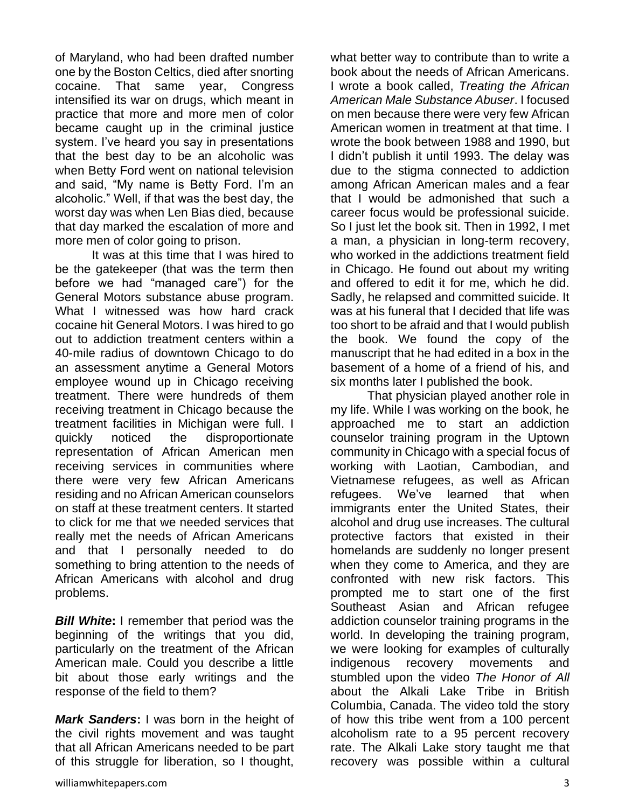of Maryland, who had been drafted number one by the Boston Celtics, died after snorting cocaine. That same year, Congress intensified its war on drugs, which meant in practice that more and more men of color became caught up in the criminal justice system. I've heard you say in presentations that the best day to be an alcoholic was when Betty Ford went on national television and said, "My name is Betty Ford. I'm an alcoholic." Well, if that was the best day, the worst day was when Len Bias died, because that day marked the escalation of more and more men of color going to prison.

It was at this time that I was hired to be the gatekeeper (that was the term then before we had "managed care") for the General Motors substance abuse program. What I witnessed was how hard crack cocaine hit General Motors. I was hired to go out to addiction treatment centers within a 40-mile radius of downtown Chicago to do an assessment anytime a General Motors employee wound up in Chicago receiving treatment. There were hundreds of them receiving treatment in Chicago because the treatment facilities in Michigan were full. I quickly noticed the disproportionate representation of African American men receiving services in communities where there were very few African Americans residing and no African American counselors on staff at these treatment centers. It started to click for me that we needed services that really met the needs of African Americans and that I personally needed to do something to bring attention to the needs of African Americans with alcohol and drug problems.

*Bill White***:** I remember that period was the beginning of the writings that you did, particularly on the treatment of the African American male. Could you describe a little bit about those early writings and the response of the field to them?

*Mark Sanders***:** I was born in the height of the civil rights movement and was taught that all African Americans needed to be part of this struggle for liberation, so I thought,

williamwhitepapers.com 3

what better way to contribute than to write a book about the needs of African Americans. I wrote a book called, *Treating the African American Male Substance Abuser*. I focused on men because there were very few African American women in treatment at that time. I wrote the book between 1988 and 1990, but I didn't publish it until 1993. The delay was due to the stigma connected to addiction among African American males and a fear that I would be admonished that such a career focus would be professional suicide. So I just let the book sit. Then in 1992, I met a man, a physician in long-term recovery, who worked in the addictions treatment field in Chicago. He found out about my writing and offered to edit it for me, which he did. Sadly, he relapsed and committed suicide. It was at his funeral that I decided that life was too short to be afraid and that I would publish the book. We found the copy of the manuscript that he had edited in a box in the basement of a home of a friend of his, and six months later I published the book.

That physician played another role in my life. While I was working on the book, he approached me to start an addiction counselor training program in the Uptown community in Chicago with a special focus of working with Laotian, Cambodian, and Vietnamese refugees, as well as African refugees. We've learned that when immigrants enter the United States, their alcohol and drug use increases. The cultural protective factors that existed in their homelands are suddenly no longer present when they come to America, and they are confronted with new risk factors. This prompted me to start one of the first Southeast Asian and African refugee addiction counselor training programs in the world. In developing the training program, we were looking for examples of culturally indigenous recovery movements and stumbled upon the video *The Honor of All* about the Alkali Lake Tribe in British Columbia, Canada. The video told the story of how this tribe went from a 100 percent alcoholism rate to a 95 percent recovery rate. The Alkali Lake story taught me that recovery was possible within a cultural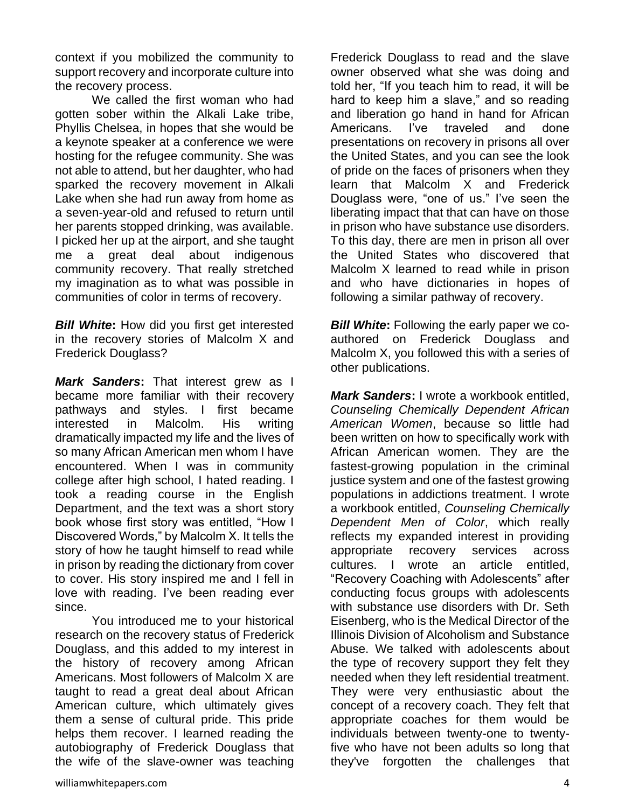context if you mobilized the community to support recovery and incorporate culture into the recovery process.

We called the first woman who had gotten sober within the Alkali Lake tribe, Phyllis Chelsea, in hopes that she would be a keynote speaker at a conference we were hosting for the refugee community. She was not able to attend, but her daughter, who had sparked the recovery movement in Alkali Lake when she had run away from home as a seven-year-old and refused to return until her parents stopped drinking, was available. I picked her up at the airport, and she taught me a great deal about indigenous community recovery. That really stretched my imagination as to what was possible in communities of color in terms of recovery.

*Bill White***:** How did you first get interested in the recovery stories of Malcolm X and Frederick Douglass?

*Mark Sanders***:** That interest grew as I became more familiar with their recovery pathways and styles. I first became interested in Malcolm. His writing dramatically impacted my life and the lives of so many African American men whom I have encountered. When I was in community college after high school, I hated reading. I took a reading course in the English Department, and the text was a short story book whose first story was entitled, "How I Discovered Words," by Malcolm X. It tells the story of how he taught himself to read while in prison by reading the dictionary from cover to cover. His story inspired me and I fell in love with reading. I've been reading ever since.

You introduced me to your historical research on the recovery status of Frederick Douglass, and this added to my interest in the history of recovery among African Americans. Most followers of Malcolm X are taught to read a great deal about African American culture, which ultimately gives them a sense of cultural pride. This pride helps them recover. I learned reading the autobiography of Frederick Douglass that the wife of the slave-owner was teaching

Frederick Douglass to read and the slave owner observed what she was doing and told her, "If you teach him to read, it will be hard to keep him a slave," and so reading and liberation go hand in hand for African Americans. I've traveled and done presentations on recovery in prisons all over the United States, and you can see the look of pride on the faces of prisoners when they learn that Malcolm X and Frederick Douglass were, "one of us." I've seen the liberating impact that that can have on those in prison who have substance use disorders. To this day, there are men in prison all over the United States who discovered that Malcolm X learned to read while in prison and who have dictionaries in hopes of following a similar pathway of recovery.

*Bill White***:** Following the early paper we coauthored on Frederick Douglass and Malcolm X, you followed this with a series of other publications.

*Mark Sanders***:** I wrote a workbook entitled, *Counseling Chemically Dependent African American Women*, because so little had been written on how to specifically work with African American women. They are the fastest-growing population in the criminal justice system and one of the fastest growing populations in addictions treatment. I wrote a workbook entitled, *Counseling Chemically Dependent Men of Color*, which really reflects my expanded interest in providing appropriate recovery services across cultures. I wrote an article entitled, "Recovery Coaching with Adolescents" after conducting focus groups with adolescents with substance use disorders with Dr. Seth Eisenberg, who is the Medical Director of the Illinois Division of Alcoholism and Substance Abuse. We talked with adolescents about the type of recovery support they felt they needed when they left residential treatment. They were very enthusiastic about the concept of a recovery coach. They felt that appropriate coaches for them would be individuals between twenty-one to twentyfive who have not been adults so long that they've forgotten the challenges that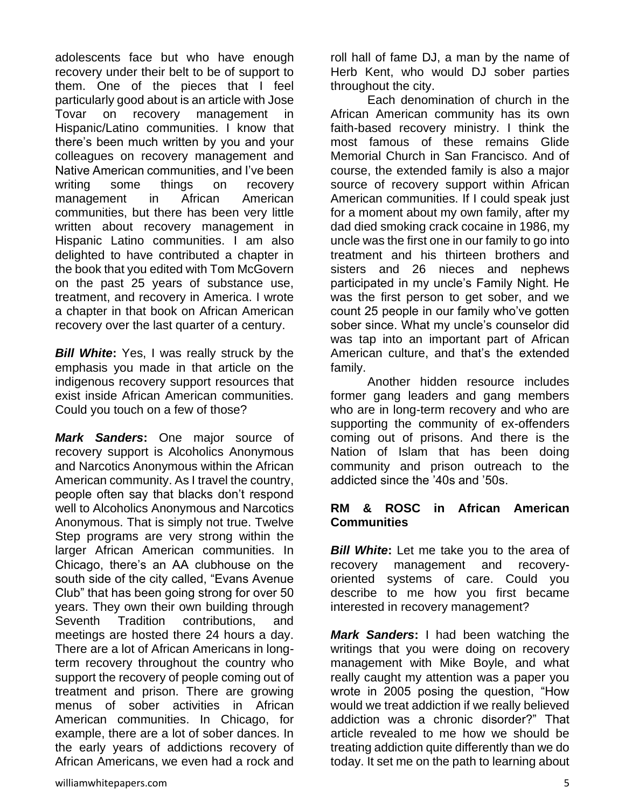adolescents face but who have enough recovery under their belt to be of support to them. One of the pieces that I feel particularly good about is an article with Jose Tovar on recovery management in Hispanic/Latino communities. I know that there's been much written by you and your colleagues on recovery management and Native American communities, and I've been writing some things on recovery management in African American communities, but there has been very little written about recovery management in Hispanic Latino communities. I am also delighted to have contributed a chapter in the book that you edited with Tom McGovern on the past 25 years of substance use, treatment, and recovery in America. I wrote a chapter in that book on African American recovery over the last quarter of a century.

*Bill White***:** Yes, I was really struck by the emphasis you made in that article on the indigenous recovery support resources that exist inside African American communities. Could you touch on a few of those?

*Mark Sanders***:** One major source of recovery support is Alcoholics Anonymous and Narcotics Anonymous within the African American community. As I travel the country, people often say that blacks don't respond well to Alcoholics Anonymous and Narcotics Anonymous. That is simply not true. Twelve Step programs are very strong within the larger African American communities. In Chicago, there's an AA clubhouse on the south side of the city called, "Evans Avenue Club" that has been going strong for over 50 years. They own their own building through Seventh Tradition contributions, and meetings are hosted there 24 hours a day. There are a lot of African Americans in longterm recovery throughout the country who support the recovery of people coming out of treatment and prison. There are growing menus of sober activities in African American communities. In Chicago, for example, there are a lot of sober dances. In the early years of addictions recovery of African Americans, we even had a rock and

roll hall of fame DJ, a man by the name of Herb Kent, who would DJ sober parties throughout the city.

Each denomination of church in the African American community has its own faith-based recovery ministry. I think the most famous of these remains Glide Memorial Church in San Francisco. And of course, the extended family is also a major source of recovery support within African American communities. If I could speak just for a moment about my own family, after my dad died smoking crack cocaine in 1986, my uncle was the first one in our family to go into treatment and his thirteen brothers and sisters and 26 nieces and nephews participated in my uncle's Family Night. He was the first person to get sober, and we count 25 people in our family who've gotten sober since. What my uncle's counselor did was tap into an important part of African American culture, and that's the extended family.

Another hidden resource includes former gang leaders and gang members who are in long-term recovery and who are supporting the community of ex-offenders coming out of prisons. And there is the Nation of Islam that has been doing community and prison outreach to the addicted since the '40s and '50s.

#### **RM & ROSC in African American Communities**

**Bill White:** Let me take you to the area of recovery management and recoveryoriented systems of care. Could you describe to me how you first became interested in recovery management?

*Mark Sanders***:** I had been watching the writings that you were doing on recovery management with Mike Boyle, and what really caught my attention was a paper you wrote in 2005 posing the question, "How would we treat addiction if we really believed addiction was a chronic disorder?" That article revealed to me how we should be treating addiction quite differently than we do today. It set me on the path to learning about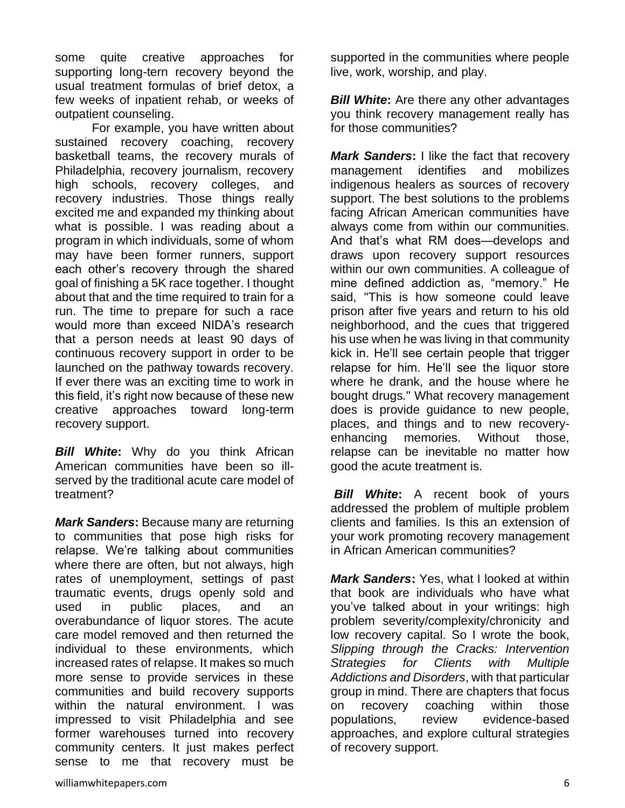some quite creative approaches for supporting long-tern recovery beyond the usual treatment formulas of brief detox, a few weeks of inpatient rehab, or weeks of outpatient counseling.

For example, you have written about sustained recovery coaching, recovery basketball teams, the recovery murals of Philadelphia, recovery journalism, recovery high schools, recovery colleges, and recovery industries. Those things really excited me and expanded my thinking about what is possible. I was reading about a program in which individuals, some of whom may have been former runners, support each other's recovery through the shared goal of finishing a 5K race together. I thought about that and the time required to train for a run. The time to prepare for such a race would more than exceed NIDA's research that a person needs at least 90 days of continuous recovery support in order to be launched on the pathway towards recovery. If ever there was an exciting time to work in this field, it's right now because of these new creative approaches toward long-term recovery support.

*Bill White***:** Why do you think African American communities have been so illserved by the traditional acute care model of treatment?

*Mark Sanders***:** Because many are returning to communities that pose high risks for relapse. We're talking about communities where there are often, but not always, high rates of unemployment, settings of past traumatic events, drugs openly sold and used in public places, and an overabundance of liquor stores. The acute care model removed and then returned the individual to these environments, which increased rates of relapse. It makes so much more sense to provide services in these communities and build recovery supports within the natural environment. I was impressed to visit Philadelphia and see former warehouses turned into recovery community centers. It just makes perfect sense to me that recovery must be

supported in the communities where people live, work, worship, and play.

*Bill White***:** Are there any other advantages you think recovery management really has for those communities?

*Mark Sanders***:** I like the fact that recovery management identifies and mobilizes indigenous healers as sources of recovery support. The best solutions to the problems facing African American communities have always come from within our communities. And that's what RM does—develops and draws upon recovery support resources within our own communities. A colleague of mine defined addiction as, "memory." He said, "This is how someone could leave prison after five years and return to his old neighborhood, and the cues that triggered his use when he was living in that community kick in. He'll see certain people that trigger relapse for him. He'll see the liquor store where he drank, and the house where he bought drugs." What recovery management does is provide guidance to new people, places, and things and to new recoveryenhancing memories. Without those, relapse can be inevitable no matter how good the acute treatment is.

*Bill White***:** A recent book of yours addressed the problem of multiple problem clients and families. Is this an extension of your work promoting recovery management in African American communities?

*Mark Sanders***:** Yes, what I looked at within that book are individuals who have what you've talked about in your writings: high problem severity/complexity/chronicity and low recovery capital. So I wrote the book, *Slipping through the Cracks: Intervention Strategies for Clients with Multiple Addictions and Disorders*, with that particular group in mind. There are chapters that focus on recovery coaching within those populations, review evidence-based approaches, and explore cultural strategies of recovery support.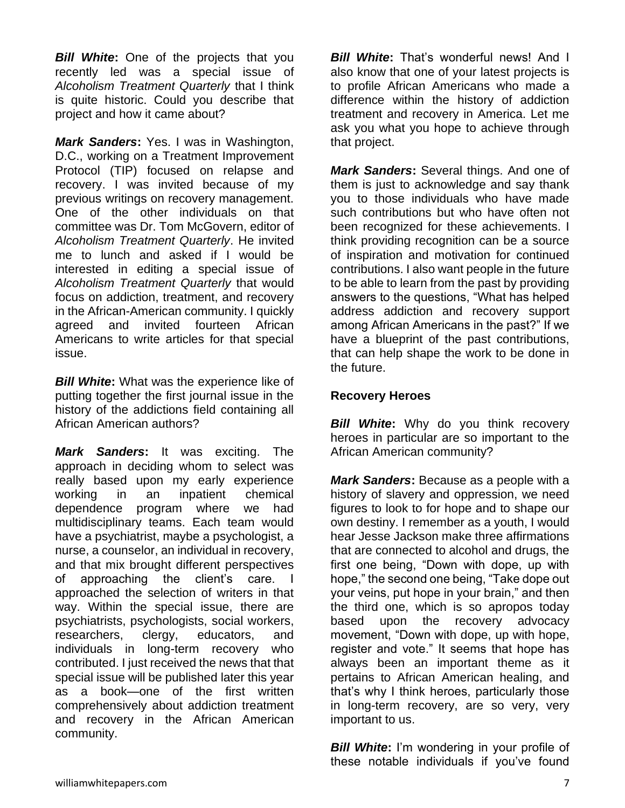*Bill White***:** One of the projects that you recently led was a special issue of *Alcoholism Treatment Quarterly* that I think is quite historic. Could you describe that project and how it came about?

*Mark Sanders***:** Yes. I was in Washington, D.C., working on a Treatment Improvement Protocol (TIP) focused on relapse and recovery. I was invited because of my previous writings on recovery management. One of the other individuals on that committee was Dr. Tom McGovern, editor of *Alcoholism Treatment Quarterly*. He invited me to lunch and asked if I would be interested in editing a special issue of *Alcoholism Treatment Quarterly* that would focus on addiction, treatment, and recovery in the African-American community. I quickly agreed and invited fourteen African Americans to write articles for that special issue.

*Bill White***:** What was the experience like of putting together the first journal issue in the history of the addictions field containing all African American authors?

*Mark Sanders***:** It was exciting. The approach in deciding whom to select was really based upon my early experience working in an inpatient chemical dependence program where we had multidisciplinary teams. Each team would have a psychiatrist, maybe a psychologist, a nurse, a counselor, an individual in recovery, and that mix brought different perspectives of approaching the client's care. I approached the selection of writers in that way. Within the special issue, there are psychiatrists, psychologists, social workers, researchers, clergy, educators, and individuals in long-term recovery who contributed. I just received the news that that special issue will be published later this year as a book—one of the first written comprehensively about addiction treatment and recovery in the African American community.

*Bill White***:** That's wonderful news! And I also know that one of your latest projects is to profile African Americans who made a difference within the history of addiction treatment and recovery in America. Let me ask you what you hope to achieve through that project.

*Mark Sanders***:** Several things. And one of them is just to acknowledge and say thank you to those individuals who have made such contributions but who have often not been recognized for these achievements. I think providing recognition can be a source of inspiration and motivation for continued contributions. I also want people in the future to be able to learn from the past by providing answers to the questions, "What has helped address addiction and recovery support among African Americans in the past?" If we have a blueprint of the past contributions, that can help shape the work to be done in the future.

#### **Recovery Heroes**

*Bill White***:** Why do you think recovery heroes in particular are so important to the African American community?

*Mark Sanders***:** Because as a people with a history of slavery and oppression, we need figures to look to for hope and to shape our own destiny. I remember as a youth, I would hear Jesse Jackson make three affirmations that are connected to alcohol and drugs, the first one being, "Down with dope, up with hope," the second one being, "Take dope out your veins, put hope in your brain," and then the third one, which is so apropos today based upon the recovery advocacy movement, "Down with dope, up with hope, register and vote." It seems that hope has always been an important theme as it pertains to African American healing, and that's why I think heroes, particularly those in long-term recovery, are so very, very important to us.

*Bill White:* I'm wondering in your profile of these notable individuals if you've found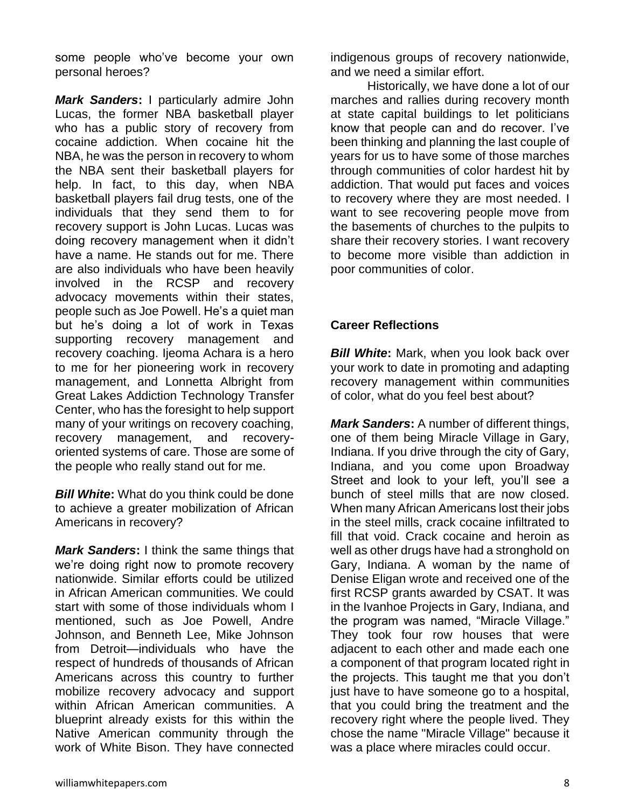some people who've become your own personal heroes?

*Mark Sanders***:** I particularly admire John Lucas, the former NBA basketball player who has a public story of recovery from cocaine addiction. When cocaine hit the NBA, he was the person in recovery to whom the NBA sent their basketball players for help. In fact, to this day, when NBA basketball players fail drug tests, one of the individuals that they send them to for recovery support is John Lucas. Lucas was doing recovery management when it didn't have a name. He stands out for me. There are also individuals who have been heavily involved in the RCSP and recovery advocacy movements within their states, people such as Joe Powell. He's a quiet man but he's doing a lot of work in Texas supporting recovery management and recovery coaching. Ijeoma Achara is a hero to me for her pioneering work in recovery management, and Lonnetta Albright from Great Lakes Addiction Technology Transfer Center, who has the foresight to help support many of your writings on recovery coaching, recovery management, and recoveryoriented systems of care. Those are some of the people who really stand out for me.

*Bill White***:** What do you think could be done to achieve a greater mobilization of African Americans in recovery?

*Mark Sanders***:** I think the same things that we're doing right now to promote recovery nationwide. Similar efforts could be utilized in African American communities. We could start with some of those individuals whom I mentioned, such as Joe Powell, Andre Johnson, and Benneth Lee, Mike Johnson from Detroit—individuals who have the respect of hundreds of thousands of African Americans across this country to further mobilize recovery advocacy and support within African American communities. A blueprint already exists for this within the Native American community through the work of White Bison. They have connected

indigenous groups of recovery nationwide, and we need a similar effort.

Historically, we have done a lot of our marches and rallies during recovery month at state capital buildings to let politicians know that people can and do recover. I've been thinking and planning the last couple of years for us to have some of those marches through communities of color hardest hit by addiction. That would put faces and voices to recovery where they are most needed. I want to see recovering people move from the basements of churches to the pulpits to share their recovery stories. I want recovery to become more visible than addiction in poor communities of color.

#### **Career Reflections**

*Bill White***:** Mark, when you look back over your work to date in promoting and adapting recovery management within communities of color, what do you feel best about?

*Mark Sanders***:** A number of different things, one of them being Miracle Village in Gary, Indiana. If you drive through the city of Gary, Indiana, and you come upon Broadway Street and look to your left, you'll see a bunch of steel mills that are now closed. When many African Americans lost their jobs in the steel mills, crack cocaine infiltrated to fill that void. Crack cocaine and heroin as well as other drugs have had a stronghold on Gary, Indiana. A woman by the name of Denise Eligan wrote and received one of the first RCSP grants awarded by CSAT. It was in the Ivanhoe Projects in Gary, Indiana, and the program was named, "Miracle Village." They took four row houses that were adjacent to each other and made each one a component of that program located right in the projects. This taught me that you don't just have to have someone go to a hospital, that you could bring the treatment and the recovery right where the people lived. They chose the name "Miracle Village" because it was a place where miracles could occur.